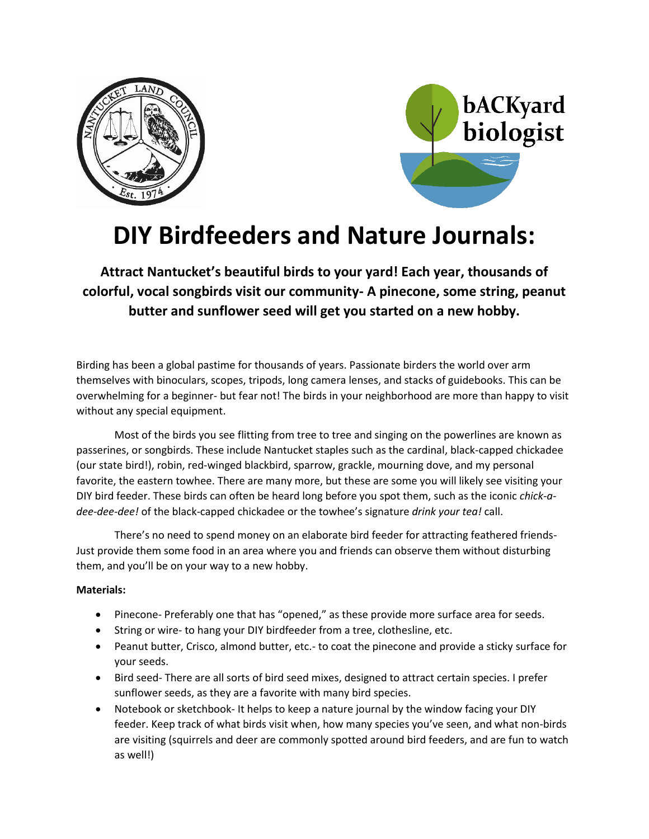



## **DIY Birdfeeders and Nature Journals:**

**Attract Nantucket's beautiful birds to your yard! Each year, thousands of colorful, vocal songbirds visit our community- A pinecone, some string, peanut butter and sunflower seed will get you started on a new hobby.**

Birding has been a global pastime for thousands of years. Passionate birders the world over arm themselves with binoculars, scopes, tripods, long camera lenses, and stacks of guidebooks. This can be overwhelming for a beginner- but fear not! The birds in your neighborhood are more than happy to visit without any special equipment.

Most of the birds you see flitting from tree to tree and singing on the powerlines are known as passerines, or songbirds. These include Nantucket staples such as the cardinal, black-capped chickadee (our state bird!), robin, red-winged blackbird, sparrow, grackle, mourning dove, and my personal favorite, the eastern towhee. There are many more, but these are some you will likely see visiting your DIY bird feeder. These birds can often be heard long before you spot them, such as the iconic *chick-adee-dee-dee!* of the black-capped chickadee or the towhee's signature *drink your tea!* call.

There's no need to spend money on an elaborate bird feeder for attracting feathered friends-Just provide them some food in an area where you and friends can observe them without disturbing them, and you'll be on your way to a new hobby.

## **Materials:**

- Pinecone- Preferably one that has "opened," as these provide more surface area for seeds.
- String or wire- to hang your DIY birdfeeder from a tree, clothesline, etc.
- Peanut butter, Crisco, almond butter, etc.- to coat the pinecone and provide a sticky surface for your seeds.
- Bird seed- There are all sorts of bird seed mixes, designed to attract certain species. I prefer sunflower seeds, as they are a favorite with many bird species.
- Notebook or sketchbook- It helps to keep a nature journal by the window facing your DIY feeder. Keep track of what birds visit when, how many species you've seen, and what non-birds are visiting (squirrels and deer are commonly spotted around bird feeders, and are fun to watch as well!)